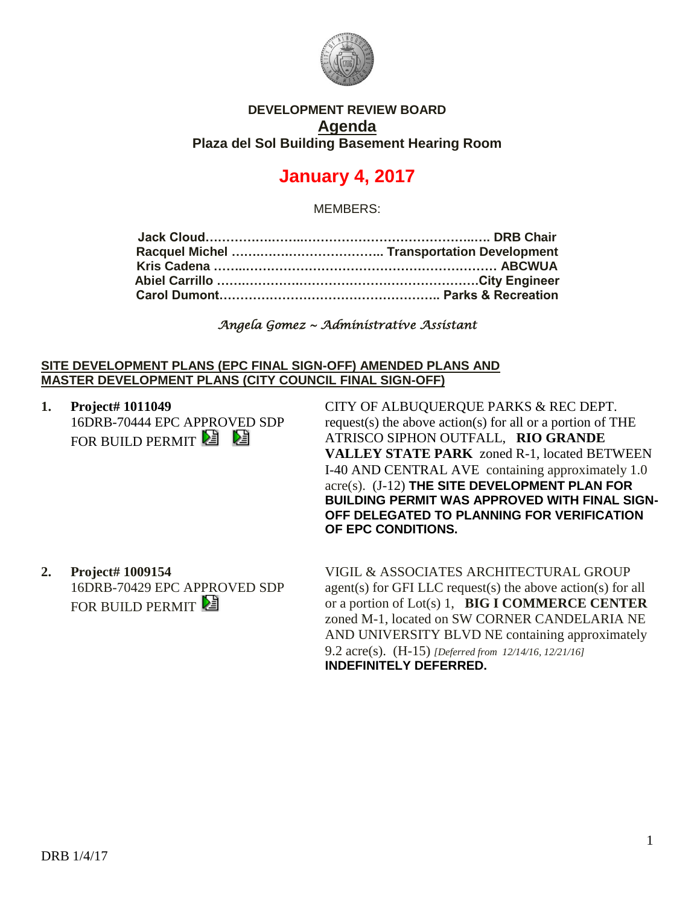

## **DEVELOPMENT REVIEW BOARD Agenda Plaza del Sol Building Basement Hearing Room**

# **January 4, 2017**

MEMBERS:

| Abiel Carrillo ………………………………………………………City Engineer |
|---------------------------------------------------|
|                                                   |
|                                                   |

*Angela Gomez ~ Administrative Assistant* 

#### **SITE DEVELOPMENT PLANS (EPC FINAL SIGN-OFF) AMENDED PLANS AND MASTER DEVELOPMENT PLANS (CITY COUNCIL FINAL SIGN-OFF)**

**1. Project# 1011049** 16DRB-70444 EPC APPROVED SDP FOR BUILD PERMIT<sup>2</sup>

CITY OF ALBUQUERQUE PARKS & REC DEPT. request(s) the above action(s) for all or a portion of THE ATRISCO SIPHON OUTFALL, **RIO GRANDE VALLEY STATE PARK** zoned R-1, located BETWEEN I-40 AND CENTRAL AVE containing approximately 1.0 acre(s). (J-12) **THE SITE DEVELOPMENT PLAN FOR BUILDING PERMIT WAS APPROVED WITH FINAL SIGN-OFF DELEGATED TO PLANNING FOR VERIFICATION OF EPC CONDITIONS.**

**2. Project# 1009154** 16DRB-70429 EPC APPROVED SDP FOR BUILD PERMIT

VIGIL & ASSOCIATES ARCHITECTURAL GROUP agent(s) for GFI LLC request(s) the above action(s) for all or a portion of Lot(s) 1, **BIG I COMMERCE CENTER** zoned M-1, located on SW CORNER CANDELARIA NE AND UNIVERSITY BLVD NE containing approximately 9.2 acre(s). (H-15) *[Deferred from 12/14/16, 12/21/16]* **INDEFINITELY DEFERRED.**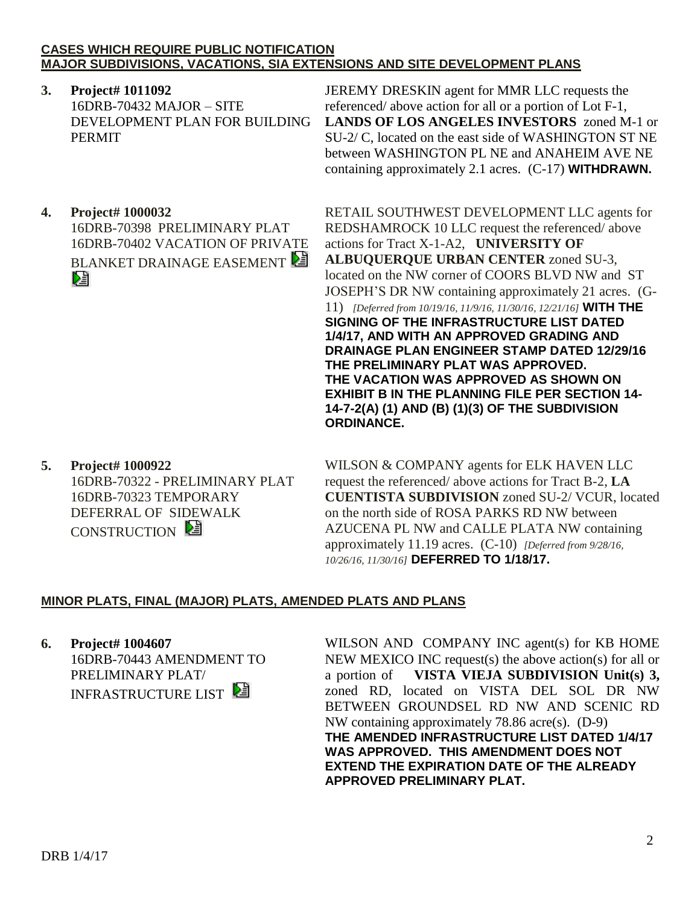### **CASES WHICH REQUIRE PUBLIC NOTIFICATION MAJOR SUBDIVISIONS, VACATIONS, SIA EXTENSIONS AND SITE DEVELOPMENT PLANS**

**3. Project# 1011092** 16DRB-70432 MAJOR – SITE DEVELOPMENT PLAN FOR BUILDING PERMIT

JEREMY DRESKIN agent for MMR LLC requests the referenced/ above action for all or a portion of Lot F-1, **LANDS OF LOS ANGELES INVESTORS** zoned M-1 or SU-2/ C, located on the east side of WASHINGTON ST NE between WASHINGTON PL NE and ANAHEIM AVE NE containing approximately 2.1 acres. (C-17) **WITHDRAWN.**

**4. Project# 1000032** 16DRB-70398 PRELIMINARY PLAT 16DRB-70402 VACATION OF PRIVATE BLANKET DRAINAGE EASEMENT Dà

RETAIL SOUTHWEST DEVELOPMENT LLC agents for REDSHAMROCK 10 LLC request the referenced/ above actions for Tract X-1-A2, **UNIVERSITY OF ALBUQUERQUE URBAN CENTER** zoned SU-3, located on the NW corner of COORS BLVD NW and ST JOSEPH'S DR NW containing approximately 21 acres. (G-11) *[Deferred from 10/19/16, 11/9/16, 11/30/16, 12/21/16]* **WITH THE SIGNING OF THE INFRASTRUCTURE LIST DATED 1/4/17, AND WITH AN APPROVED GRADING AND DRAINAGE PLAN ENGINEER STAMP DATED 12/29/16 THE PRELIMINARY PLAT WAS APPROVED. THE VACATION WAS APPROVED AS SHOWN ON EXHIBIT B IN THE PLANNING FILE PER SECTION 14- 14-7-2(A) (1) AND (B) (1)(3) OF THE SUBDIVISION ORDINANCE.**

**5. Project# 1000922** 16DRB-70322 - PRELIMINARY PLAT 16DRB-70323 TEMPORARY DEFERRAL OF SIDEWALK CONSTRUCTION

WILSON & COMPANY agents for ELK HAVEN LLC request the referenced/ above actions for Tract B-2, **LA CUENTISTA SUBDIVISION** zoned SU-2/ VCUR, located on the north side of ROSA PARKS RD NW between AZUCENA PL NW and CALLE PLATA NW containing approximately 11.19 acres. (C-10) *[Deferred from 9/28/16, 10/26/16, 11/30/16]* **DEFERRED TO 1/18/17.**

## **MINOR PLATS, FINAL (MAJOR) PLATS, AMENDED PLATS AND PLANS**

**6. Project# 1004607** 16DRB-70443 AMENDMENT TO PRELIMINARY PLAT/ INFRASTRUCTURE LIST

WILSON AND COMPANY INC agent(s) for KB HOME NEW MEXICO INC request(s) the above action(s) for all or a portion of **VISTA VIEJA SUBDIVISION Unit(s) 3,** zoned RD, located on VISTA DEL SOL DR NW BETWEEN GROUNDSEL RD NW AND SCENIC RD NW containing approximately 78.86 acre(s). (D-9) **THE AMENDED INFRASTRUCTURE LIST DATED 1/4/17 WAS APPROVED. THIS AMENDMENT DOES NOT EXTEND THE EXPIRATION DATE OF THE ALREADY APPROVED PRELIMINARY PLAT.**